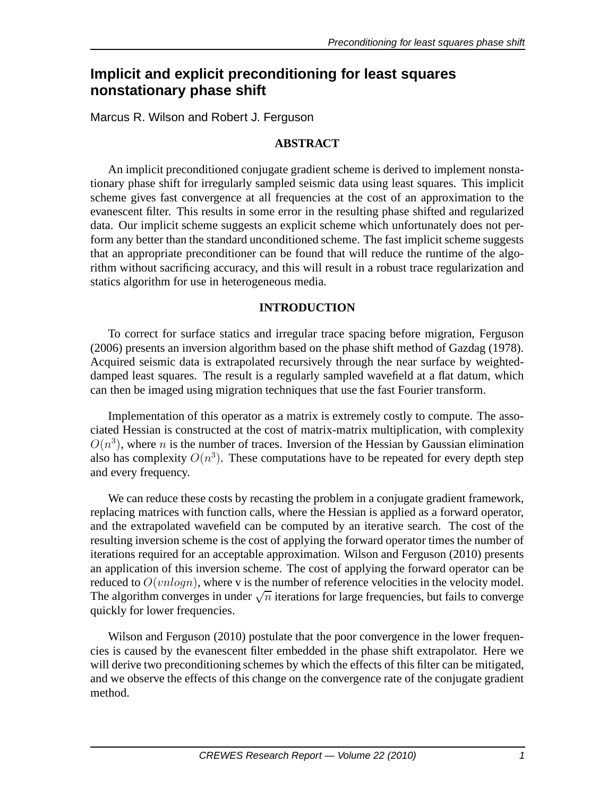# **Implicit and explicit preconditioning for least squares nonstationary phase shift**

Marcus R. Wilson and Robert J. Ferguson

# **ABSTRACT**

An implicit preconditioned conjugate gradient scheme is derived to implement nonstationary phase shift for irregularly sampled seismic data using least squares. This implicit scheme gives fast convergence at all frequencies at the cost of an approximation to the evanescent filter. This results in some error in the resulting phase shifted and regularized data. Our implicit scheme suggests an explicit scheme which unfortunately does not perform any better than the standard unconditioned scheme. The fast implicit scheme suggests that an appropriate preconditioner can be found that will reduce the runtime of the algorithm without sacrificing accuracy, and this will result in a robust trace regularization and statics algorithm for use in heterogeneous media.

# **INTRODUCTION**

To correct for surface statics and irregular trace spacing before migration, Ferguson (2006) presents an inversion algorithm based on the phase shift method of Gazdag (1978). Acquired seismic data is extrapolated recursively through the near surface by weighteddamped least squares. The result is a regularly sampled wavefield at a flat datum, which can then be imaged using migration techniques that use the fast Fourier transform.

Implementation of this operator as a matrix is extremely costly to compute. The associated Hessian is constructed at the cost of matrix-matrix multiplication, with complexity  $O(n^3)$ , where n is the number of traces. Inversion of the Hessian by Gaussian elimination also has complexity  $O(n^3)$ . These computations have to be repeated for every depth step and every frequency.

We can reduce these costs by recasting the problem in a conjugate gradient framework, replacing matrices with function calls, where the Hessian is applied as a forward operator, and the extrapolated wavefield can be computed by an iterative search. The cost of the resulting inversion scheme is the cost of applying the forward operator times the number of iterations required for an acceptable approximation. Wilson and Ferguson (2010) presents an application of this inversion scheme. The cost of applying the forward operator can be reduced to  $O(vnlogn)$ , where v is the number of reference velocities in the velocity model. The algorithm converges in under  $\sqrt{n}$  iterations for large frequencies, but fails to converge quickly for lower frequencies.

Wilson and Ferguson (2010) postulate that the poor convergence in the lower frequencies is caused by the evanescent filter embedded in the phase shift extrapolator. Here we will derive two preconditioning schemes by which the effects of this filter can be mitigated, and we observe the effects of this change on the convergence rate of the conjugate gradient method.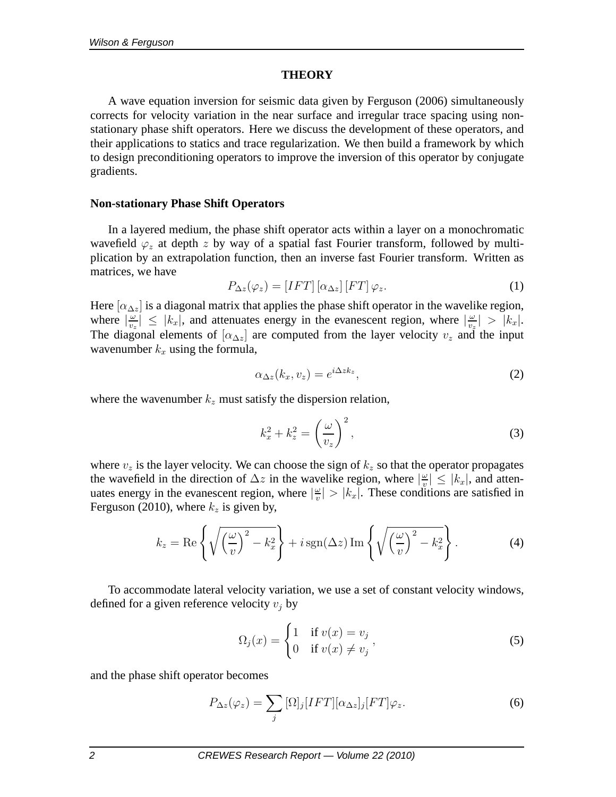### **THEORY**

A wave equation inversion for seismic data given by Ferguson (2006) simultaneously corrects for velocity variation in the near surface and irregular trace spacing using nonstationary phase shift operators. Here we discuss the development of these operators, and their applications to statics and trace regularization. We then build a framework by which to design preconditioning operators to improve the inversion of this operator by conjugate gradients.

### **Non-stationary Phase Shift Operators**

In a layered medium, the phase shift operator acts within a layer on a monochromatic wavefield  $\varphi_z$  at depth z by way of a spatial fast Fourier transform, followed by multiplication by an extrapolation function, then an inverse fast Fourier transform. Written as matrices, we have

$$
P_{\Delta z}(\varphi_z) = [IFT] [\alpha_{\Delta z}] [FT] \varphi_z.
$$
 (1)

Here  $[\alpha_{\Delta z}]$  is a diagonal matrix that applies the phase shift operator in the wavelike region, where  $\left| \frac{\omega}{v_z} \right|$  $\frac{\omega}{v_z}$   $\leq$   $|k_x|$ , and attenuates energy in the evanescent region, where  $|\frac{\omega}{v_z}|$  $\frac{\omega}{v_z}$  >  $|k_x|$ . The diagonal elements of  $[\alpha_{\Delta z}]$  are computed from the layer velocity  $v_z$  and the input wavenumber  $k_x$  using the formula,

$$
\alpha_{\Delta z}(k_x, v_z) = e^{i\Delta z k_z},\tag{2}
$$

where the wavenumber  $k_z$  must satisfy the dispersion relation,

$$
k_x^2 + k_z^2 = \left(\frac{\omega}{v_z}\right)^2,\tag{3}
$$

where  $v_z$  is the layer velocity. We can choose the sign of  $k_z$  so that the operator propagates the wavefield in the direction of  $\Delta z$  in the wavelike region, where  $\left|\frac{\omega}{v}\right|$  $\frac{|\omega|}{v} \leq |k_x|$ , and attenuates energy in the evanescent region, where  $\left|\frac{\omega}{v}\right|$  $|w_v| > |k_x|$ . These conditions are satisfied in Ferguson (2010), where  $k_z$  is given by,

$$
k_z = \text{Re}\left\{\sqrt{\left(\frac{\omega}{v}\right)^2 - k_x^2}\right\} + i\,\text{sgn}(\Delta z)\,\text{Im}\left\{\sqrt{\left(\frac{\omega}{v}\right)^2 - k_x^2}\right\}.\tag{4}
$$

To accommodate lateral velocity variation, we use a set of constant velocity windows, defined for a given reference velocity  $v_i$  by

$$
\Omega_j(x) = \begin{cases} 1 & \text{if } v(x) = v_j \\ 0 & \text{if } v(x) \neq v_j \end{cases},\tag{5}
$$

and the phase shift operator becomes

$$
P_{\Delta z}(\varphi_z) = \sum_j [\Omega]_j [IFT] [\alpha_{\Delta z}]_j [FT] \varphi_z.
$$
 (6)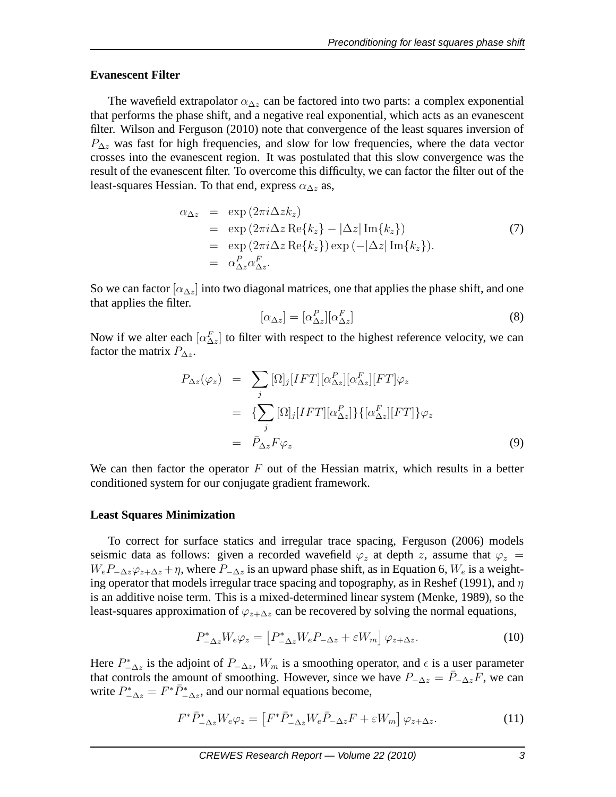# **Evanescent Filter**

The wavefield extrapolator  $\alpha_{\Delta z}$  can be factored into two parts: a complex exponential that performs the phase shift, and a negative real exponential, which acts as an evanescent filter. Wilson and Ferguson (2010) note that convergence of the least squares inversion of  $P_{\Delta z}$  was fast for high frequencies, and slow for low frequencies, where the data vector crosses into the evanescent region. It was postulated that this slow convergence was the result of the evanescent filter. To overcome this difficulty, we can factor the filter out of the least-squares Hessian. To that end, express  $\alpha_{\Delta z}$  as,

$$
\alpha_{\Delta z} = \exp(2\pi i \Delta z k_z)
$$
  
\n
$$
= \exp(2\pi i \Delta z \operatorname{Re}{k_z} - |\Delta z| \operatorname{Im}{k_z})
$$
  
\n
$$
= \exp(2\pi i \Delta z \operatorname{Re}{k_z}) \exp(-|\Delta z| \operatorname{Im}{k_z}).
$$
  
\n
$$
= \alpha_{\Delta z}^P \alpha_{\Delta z}^F.
$$
 (7)

So we can factor  $\alpha_{\Delta z}$  into two diagonal matrices, one that applies the phase shift, and one that applies the filter.

$$
[\alpha_{\Delta z}] = [\alpha_{\Delta z}^P][\alpha_{\Delta z}^F]
$$
\n(8)

Now if we alter each  $[\alpha_{\Delta z}^F]$  to filter with respect to the highest reference velocity, we can factor the matrix  $P_{\Delta z}$ .

$$
P_{\Delta z}(\varphi_z) = \sum_j [\Omega]_j [IFT] [\alpha_{\Delta z}^P] [\alpha_{\Delta z}^F] [FT] \varphi_z
$$
  

$$
= {\sum_j [\Omega]_j [IFT] [\alpha_{\Delta z}^P] } {\{[\alpha_{\Delta z}^F] [FT] \} \varphi_z}
$$
  

$$
= \bar{P}_{\Delta z} F \varphi_z
$$
 (9)

We can then factor the operator  $F$  out of the Hessian matrix, which results in a better conditioned system for our conjugate gradient framework.

### **Least Squares Minimization**

To correct for surface statics and irregular trace spacing, Ferguson (2006) models seismic data as follows: given a recorded wavefield  $\varphi_z$  at depth z, assume that  $\varphi_z$  =  $W_eP_{-\Delta z}\varphi_{z+\Delta z} + \eta$ , where  $P_{-\Delta z}$  is an upward phase shift, as in Equation 6,  $W_e$  is a weighting operator that models irregular trace spacing and topography, as in Reshef (1991), and  $\eta$ is an additive noise term. This is a mixed-determined linear system (Menke, 1989), so the least-squares approximation of  $\varphi_{z+\Delta z}$  can be recovered by solving the normal equations,

$$
P_{-\Delta z}^* W_e \varphi_z = \left[ P_{-\Delta z}^* W_e P_{-\Delta z} + \varepsilon W_m \right] \varphi_{z+\Delta z}.
$$
 (10)

Here  $P_{-\Delta z}^*$  is the adjoint of  $P_{-\Delta z}$ ,  $W_m$  is a smoothing operator, and  $\epsilon$  is a user parameter that controls the amount of smoothing. However, since we have  $P_{-\Delta z} = \overline{P}_{-\Delta z}F$ , we can write  $P_{-\Delta z}^* = F^* \overline{P}_{-\Delta z}^*$ , and our normal equations become,

$$
F^*\bar{P}^*_{-\Delta z}W_e\varphi_z = \left[F^*\bar{P}^*_{-\Delta z}W_e\bar{P}_{-\Delta z}F + \varepsilon W_m\right]\varphi_{z+\Delta z}.\tag{11}
$$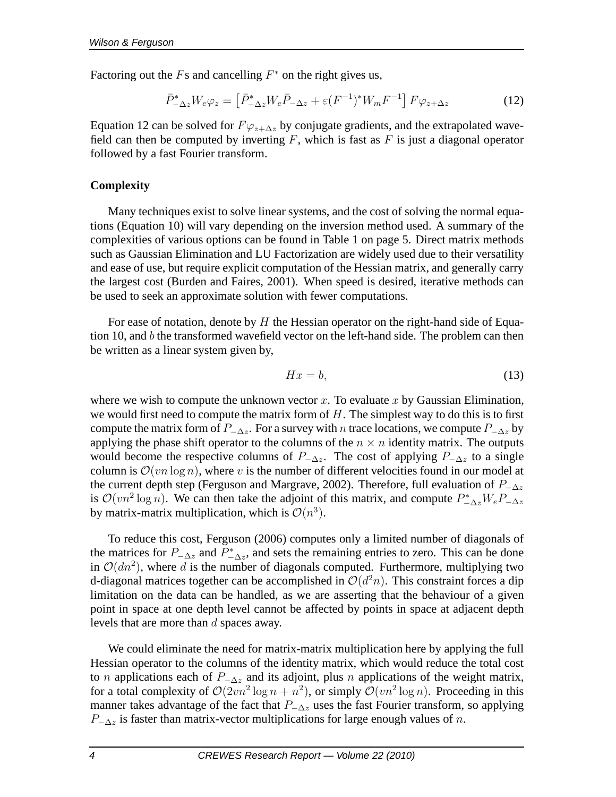Factoring out the  $F$ s and cancelling  $F^*$  on the right gives us,

$$
\bar{P}_{-\Delta z}^* W_e \varphi_z = \left[ \bar{P}_{-\Delta z}^* W_e \bar{P}_{-\Delta z} + \varepsilon (F^{-1})^* W_m F^{-1} \right] F \varphi_{z+\Delta z} \tag{12}
$$

Equation 12 can be solved for  $F\varphi_{z+\Delta z}$  by conjugate gradients, and the extrapolated wavefield can then be computed by inverting  $F$ , which is fast as  $F$  is just a diagonal operator followed by a fast Fourier transform.

# **Complexity**

Many techniques exist to solve linear systems, and the cost of solving the normal equations (Equation 10) will vary depending on the inversion method used. A summary of the complexities of various options can be found in Table 1 on page 5. Direct matrix methods such as Gaussian Elimination and LU Factorization are widely used due to their versatility and ease of use, but require explicit computation of the Hessian matrix, and generally carry the largest cost (Burden and Faires, 2001). When speed is desired, iterative methods can be used to seek an approximate solution with fewer computations.

For ease of notation, denote by  $H$  the Hessian operator on the right-hand side of Equation 10, and  $b$  the transformed wavefield vector on the left-hand side. The problem can then be written as a linear system given by,

$$
Hx = b,\tag{13}
$$

where we wish to compute the unknown vector x. To evaluate x by Gaussian Elimination, we would first need to compute the matrix form of  $H$ . The simplest way to do this is to first compute the matrix form of  $P_{-\Delta z}$ . For a survey with n trace locations, we compute  $P_{-\Delta z}$  by applying the phase shift operator to the columns of the  $n \times n$  identity matrix. The outputs would become the respective columns of  $P_{-\Delta z}$ . The cost of applying  $P_{-\Delta z}$  to a single column is  $\mathcal{O}(vn \log n)$ , where v is the number of different velocities found in our model at the current depth step (Ferguson and Margrave, 2002). Therefore, full evaluation of  $P_{-\Delta z}$ is  $\mathcal{O}(vn^2 \log n)$ . We can then take the adjoint of this matrix, and compute  $P_{-\Delta z}^* W_e P_{-\Delta z}$ by matrix-matrix multiplication, which is  $\mathcal{O}(n^3)$ .

To reduce this cost, Ferguson (2006) computes only a limited number of diagonals of the matrices for  $P_{-\Delta z}$  and  $\overline{P_{-\Delta z}^*}$ , and sets the remaining entries to zero. This can be done in  $\mathcal{O}(dn^2)$ , where d is the number of diagonals computed. Furthermore, multiplying two d-diagonal matrices together can be accomplished in  $\mathcal{O}(d^2n)$ . This constraint forces a dip limitation on the data can be handled, as we are asserting that the behaviour of a given point in space at one depth level cannot be affected by points in space at adjacent depth levels that are more than d spaces away.

We could eliminate the need for matrix-matrix multiplication here by applying the full Hessian operator to the columns of the identity matrix, which would reduce the total cost to *n* applications each of  $P_{-\Delta z}$  and its adjoint, plus *n* applications of the weight matrix, for a total complexity of  $\mathcal{O}(2vn^2 \log n + n^2)$ , or simply  $\mathcal{O}(vn^2 \log n)$ . Proceeding in this manner takes advantage of the fact that  $P_{-\Delta z}$  uses the fast Fourier transform, so applying  $P_{-\Delta z}$  is faster than matrix-vector multiplications for large enough values of n.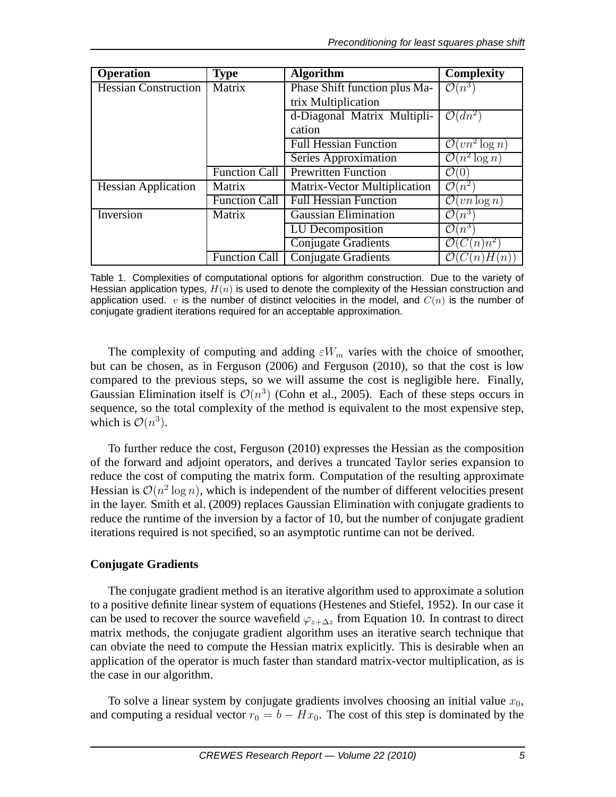| <b>Operation</b>            | <b>Type</b>          | <b>Algorithm</b>              | Complexity                         |
|-----------------------------|----------------------|-------------------------------|------------------------------------|
| <b>Hessian Construction</b> | Matrix               | Phase Shift function plus Ma- | $\mathcal{O}(n^3)$                 |
|                             |                      | trix Multiplication           |                                    |
|                             |                      | d-Diagonal Matrix Multipli-   | $\mathcal{O}(dn^2)$                |
|                             |                      | cation                        |                                    |
|                             |                      | <b>Full Hessian Function</b>  | $(vn^2 \log n)$                    |
|                             |                      | Series Approximation          | $\sqrt{n^2 \log n}$                |
|                             | Function Call        | <b>Prewritten Function</b>    | (′)<br>(0)                         |
| <b>Hessian Application</b>  | Matrix               | Matrix-Vector Multiplication  | $\mathcal{O}$<br>$\mathbf{N}(n^2)$ |
|                             | Function Call        | <b>Full Hessian Function</b>  | $(vn \log n)$<br>(′)               |
| Inversion                   | Matrix               | <b>Gaussian Elimination</b>   | $\mathcal{O}(n^3)$                 |
|                             |                      | LU Decomposition              | ″)<br>$(n^{3})$                    |
|                             |                      | <b>Conjugate Gradients</b>    | $(n)$ $n^2$ )                      |
|                             | <b>Function Call</b> | Conjugate Gradients           | n H(n)                             |

Table 1. Complexities of computational options for algorithm construction. Due to the variety of Hessian application types,  $H(n)$  is used to denote the complexity of the Hessian construction and application used. v is the number of distinct velocities in the model, and  $C(n)$  is the number of conjugate gradient iterations required for an acceptable approximation.

The complexity of computing and adding  $\varepsilon W_m$  varies with the choice of smoother, but can be chosen, as in Ferguson (2006) and Ferguson (2010), so that the cost is low compared to the previous steps, so we will assume the cost is negligible here. Finally, Gaussian Elimination itself is  $\mathcal{O}(n^3)$  (Cohn et al., 2005). Each of these steps occurs in sequence, so the total complexity of the method is equivalent to the most expensive step, which is  $\mathcal{O}(n^3)$ .

To further reduce the cost, Ferguson (2010) expresses the Hessian as the composition of the forward and adjoint operators, and derives a truncated Taylor series expansion to reduce the cost of computing the matrix form. Computation of the resulting approximate Hessian is  $\mathcal{O}(n^2 \log n)$ , which is independent of the number of different velocities present in the layer. Smith et al. (2009) replaces Gaussian Elimination with conjugate gradients to reduce the runtime of the inversion by a factor of 10, but the number of conjugate gradient iterations required is not specified, so an asymptotic runtime can not be derived.

# **Conjugate Gradients**

The conjugate gradient method is an iterative algorithm used to approximate a solution to a positive definite linear system of equations (Hestenes and Stiefel, 1952). In our case it can be used to recover the source wavefield  $\varphi_{z+\Delta z}$  from Equation 10. In contrast to direct matrix methods, the conjugate gradient algorithm uses an iterative search technique that can obviate the need to compute the Hessian matrix explicitly. This is desirable when an application of the operator is much faster than standard matrix-vector multiplication, as is the case in our algorithm.

To solve a linear system by conjugate gradients involves choosing an initial value  $x_0$ , and computing a residual vector  $r_0 = b - Hx_0$ . The cost of this step is dominated by the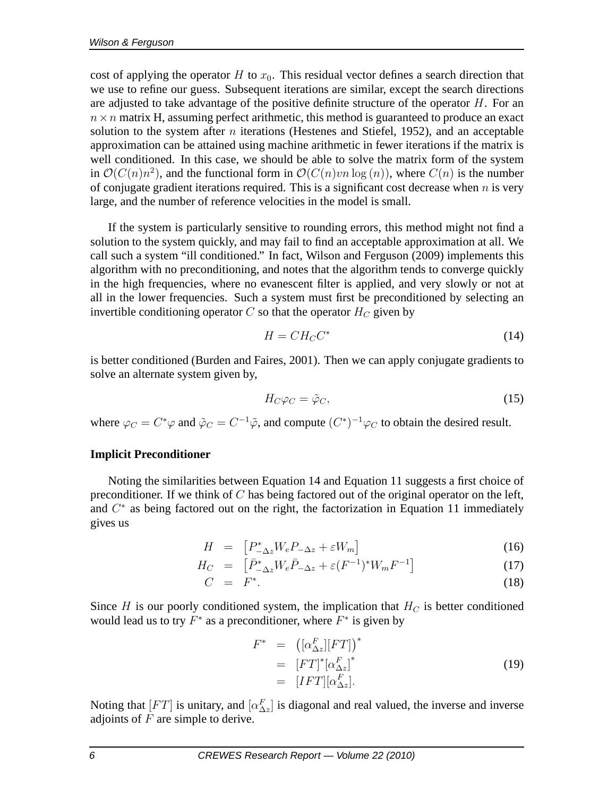cost of applying the operator H to  $x_0$ . This residual vector defines a search direction that we use to refine our guess. Subsequent iterations are similar, except the search directions are adjusted to take advantage of the positive definite structure of the operator  $H$ . For an  $n \times n$  matrix H, assuming perfect arithmetic, this method is guaranteed to produce an exact solution to the system after  $n$  iterations (Hestenes and Stiefel, 1952), and an acceptable approximation can be attained using machine arithmetic in fewer iterations if the matrix is well conditioned. In this case, we should be able to solve the matrix form of the system in  $\mathcal{O}(C(n)n^2)$ , and the functional form in  $\mathcal{O}(C(n)vn \log(n))$ , where  $C(n)$  is the number of conjugate gradient iterations required. This is a significant cost decrease when  $n$  is very large, and the number of reference velocities in the model is small.

If the system is particularly sensitive to rounding errors, this method might not find a solution to the system quickly, and may fail to find an acceptable approximation at all. We call such a system "ill conditioned." In fact, Wilson and Ferguson (2009) implements this algorithm with no preconditioning, and notes that the algorithm tends to converge quickly in the high frequencies, where no evanescent filter is applied, and very slowly or not at all in the lower frequencies. Such a system must first be preconditioned by selecting an invertible conditioning operator  $C$  so that the operator  $H_C$  given by

$$
H = CH_C C^*
$$
\n<sup>(14)</sup>

is better conditioned (Burden and Faires, 2001). Then we can apply conjugate gradients to solve an alternate system given by,

$$
H_C \varphi_C = \tilde{\varphi}_C,\tag{15}
$$

where  $\varphi_C = C^* \varphi$  and  $\tilde{\varphi}_C = C^{-1} \tilde{\varphi}$ , and compute  $(C^*)^{-1} \varphi_C$  to obtain the desired result.

### **Implicit Preconditioner**

Noting the similarities between Equation 14 and Equation 11 suggests a first choice of preconditioner. If we think of  $C$  has being factored out of the original operator on the left, and  $C^*$  as being factored out on the right, the factorization in Equation 11 immediately gives us

$$
H = [P_{-\Delta z}^* W_e P_{-\Delta z} + \varepsilon W_m]
$$
 (16)

$$
H_C = \left[ \bar{P}_{-\Delta z}^* W_e \bar{P}_{-\Delta z} + \varepsilon (F^{-1})^* W_m F^{-1} \right] \tag{17}
$$

$$
C = F^*.
$$
 (18)

Since H is our poorly conditioned system, the implication that  $H_C$  is better conditioned would lead us to try  $\overline{F}^*$  as a preconditioner, where  $\overline{F}^*$  is given by

$$
F^* = \left( [\alpha_{\Delta z}^F][FT] \right)^*
$$
  
= 
$$
[FT]^* [\alpha_{\Delta z}^F]^*
$$
  
= 
$$
[IFT][\alpha_{\Delta z}^F].
$$
 (19)

Noting that  $[FT]$  is unitary, and  $[\alpha_{\Delta z}^F]$  is diagonal and real valued, the inverse and inverse adjoints of  $F$  are simple to derive.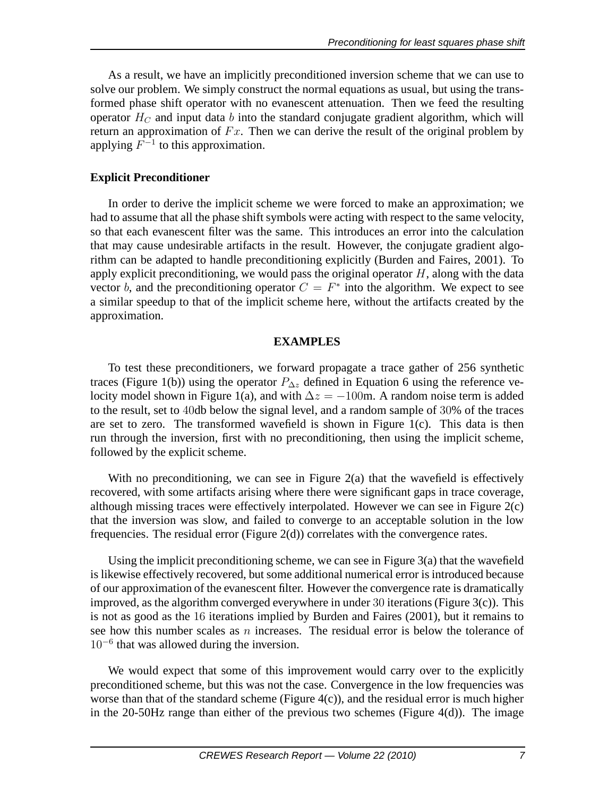As a result, we have an implicitly preconditioned inversion scheme that we can use to solve our problem. We simply construct the normal equations as usual, but using the transformed phase shift operator with no evanescent attenuation. Then we feed the resulting operator  $H_C$  and input data b into the standard conjugate gradient algorithm, which will return an approximation of  $Fx$ . Then we can derive the result of the original problem by applying  $F^{-1}$  to this approximation.

# **Explicit Preconditioner**

In order to derive the implicit scheme we were forced to make an approximation; we had to assume that all the phase shift symbols were acting with respect to the same velocity, so that each evanescent filter was the same. This introduces an error into the calculation that may cause undesirable artifacts in the result. However, the conjugate gradient algorithm can be adapted to handle preconditioning explicitly (Burden and Faires, 2001). To apply explicit preconditioning, we would pass the original operator  $H$ , along with the data vector b, and the preconditioning operator  $C = F^*$  into the algorithm. We expect to see a similar speedup to that of the implicit scheme here, without the artifacts created by the approximation.

# **EXAMPLES**

To test these preconditioners, we forward propagate a trace gather of 256 synthetic traces (Figure 1(b)) using the operator  $P_{\Delta z}$  defined in Equation 6 using the reference velocity model shown in Figure 1(a), and with  $\Delta z = -100$ m. A random noise term is added to the result, set to 40db below the signal level, and a random sample of 30% of the traces are set to zero. The transformed wavefield is shown in Figure 1(c). This data is then run through the inversion, first with no preconditioning, then using the implicit scheme, followed by the explicit scheme.

With no preconditioning, we can see in Figure  $2(a)$  that the wavefield is effectively recovered, with some artifacts arising where there were significant gaps in trace coverage, although missing traces were effectively interpolated. However we can see in Figure 2(c) that the inversion was slow, and failed to converge to an acceptable solution in the low frequencies. The residual error (Figure 2(d)) correlates with the convergence rates.

Using the implicit preconditioning scheme, we can see in Figure 3(a) that the wavefield is likewise effectively recovered, but some additional numerical error is introduced because of our approximation of the evanescent filter. However the convergence rate is dramatically improved, as the algorithm converged everywhere in under 30 iterations (Figure 3(c)). This is not as good as the 16 iterations implied by Burden and Faires (2001), but it remains to see how this number scales as  $n$  increases. The residual error is below the tolerance of 10<sup>-6</sup> that was allowed during the inversion.

We would expect that some of this improvement would carry over to the explicitly preconditioned scheme, but this was not the case. Convergence in the low frequencies was worse than that of the standard scheme (Figure 4(c)), and the residual error is much higher in the 20-50Hz range than either of the previous two schemes (Figure 4(d)). The image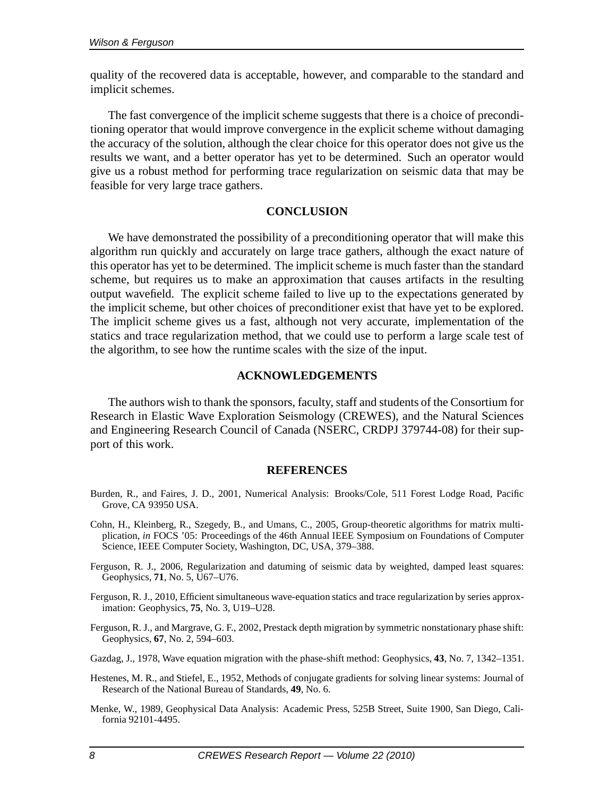quality of the recovered data is acceptable, however, and comparable to the standard and implicit schemes.

The fast convergence of the implicit scheme suggests that there is a choice of preconditioning operator that would improve convergence in the explicit scheme without damaging the accuracy of the solution, although the clear choice for this operator does not give us the results we want, and a better operator has yet to be determined. Such an operator would give us a robust method for performing trace regularization on seismic data that may be feasible for very large trace gathers.

#### **CONCLUSION**

We have demonstrated the possibility of a preconditioning operator that will make this algorithm run quickly and accurately on large trace gathers, although the exact nature of this operator has yet to be determined. The implicit scheme is much faster than the standard scheme, but requires us to make an approximation that causes artifacts in the resulting output wavefield. The explicit scheme failed to live up to the expectations generated by the implicit scheme, but other choices of preconditioner exist that have yet to be explored. The implicit scheme gives us a fast, although not very accurate, implementation of the statics and trace regularization method, that we could use to perform a large scale test of the algorithm, to see how the runtime scales with the size of the input.

#### **ACKNOWLEDGEMENTS**

The authors wish to thank the sponsors, faculty, staff and students of the Consortium for Research in Elastic Wave Exploration Seismology (CREWES), and the Natural Sciences and Engineering Research Council of Canada (NSERC, CRDPJ 379744-08) for their support of this work.

#### **REFERENCES**

- Burden, R., and Faires, J. D., 2001, Numerical Analysis: Brooks/Cole, 511 Forest Lodge Road, Pacific Grove, CA 93950 USA.
- Cohn, H., Kleinberg, R., Szegedy, B., and Umans, C., 2005, Group-theoretic algorithms for matrix multiplication, *in* FOCS '05: Proceedings of the 46th Annual IEEE Symposium on Foundations of Computer Science, IEEE Computer Society, Washington, DC, USA, 379–388.
- Ferguson, R. J., 2006, Regularization and datuming of seismic data by weighted, damped least squares: Geophysics, **71**, No. 5, U67–U76.
- Ferguson, R. J., 2010, Efficient simultaneous wave-equation statics and trace regularization by series approximation: Geophysics, **75**, No. 3, U19–U28.
- Ferguson, R. J., and Margrave, G. F., 2002, Prestack depth migration by symmetric nonstationary phase shift: Geophysics, **67**, No. 2, 594–603.
- Gazdag, J., 1978, Wave equation migration with the phase-shift method: Geophysics, **43**, No. 7, 1342–1351.
- Hestenes, M. R., and Stiefel, E., 1952, Methods of conjugate gradients for solving linear systems: Journal of Research of the National Bureau of Standards, **49**, No. 6.
- Menke, W., 1989, Geophysical Data Analysis: Academic Press, 525B Street, Suite 1900, San Diego, California 92101-4495.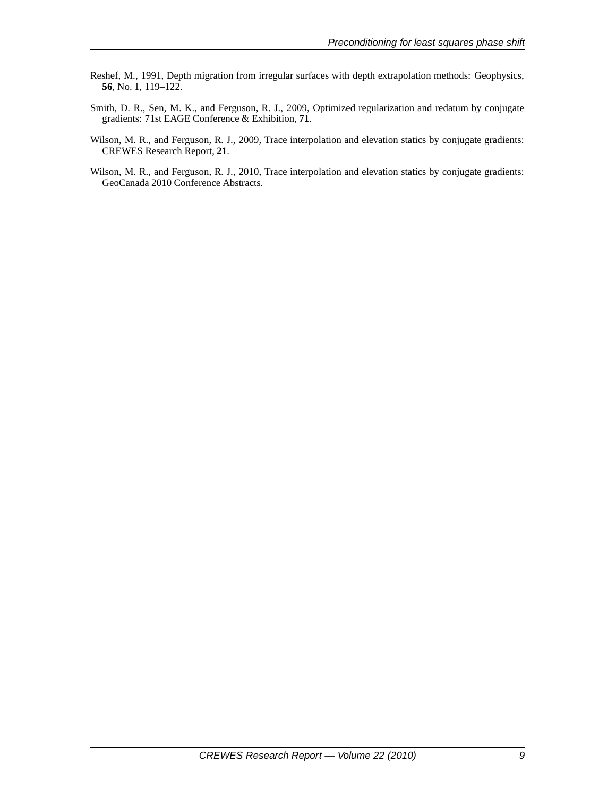- Reshef, M., 1991, Depth migration from irregular surfaces with depth extrapolation methods: Geophysics, **56**, No. 1, 119–122.
- Smith, D. R., Sen, M. K., and Ferguson, R. J., 2009, Optimized regularization and redatum by conjugate gradients: 71st EAGE Conference & Exhibition, **71**.
- Wilson, M. R., and Ferguson, R. J., 2009, Trace interpolation and elevation statics by conjugate gradients: CREWES Research Report, **21**.
- Wilson, M. R., and Ferguson, R. J., 2010, Trace interpolation and elevation statics by conjugate gradients: GeoCanada 2010 Conference Abstracts.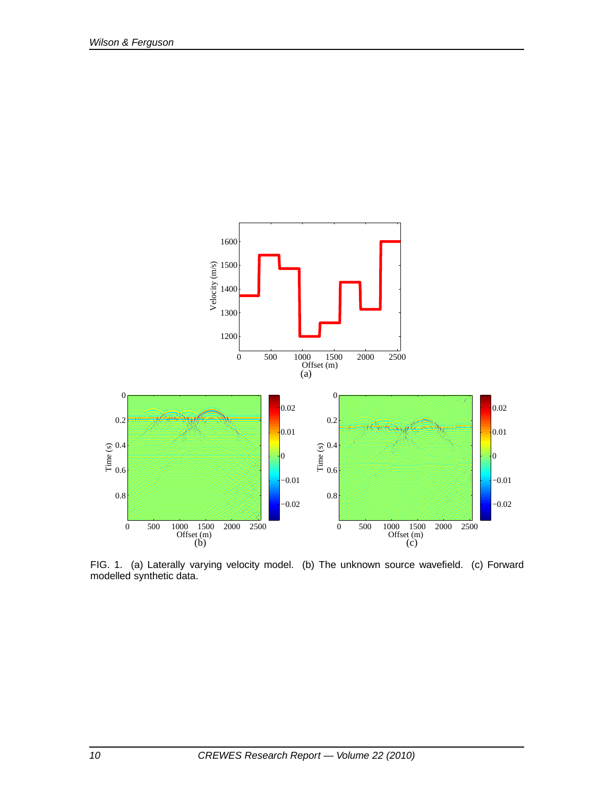

FIG. 1. (a) Laterally varying velocity model. (b) The unknown source wavefield. (c) Forward modelled synthetic data.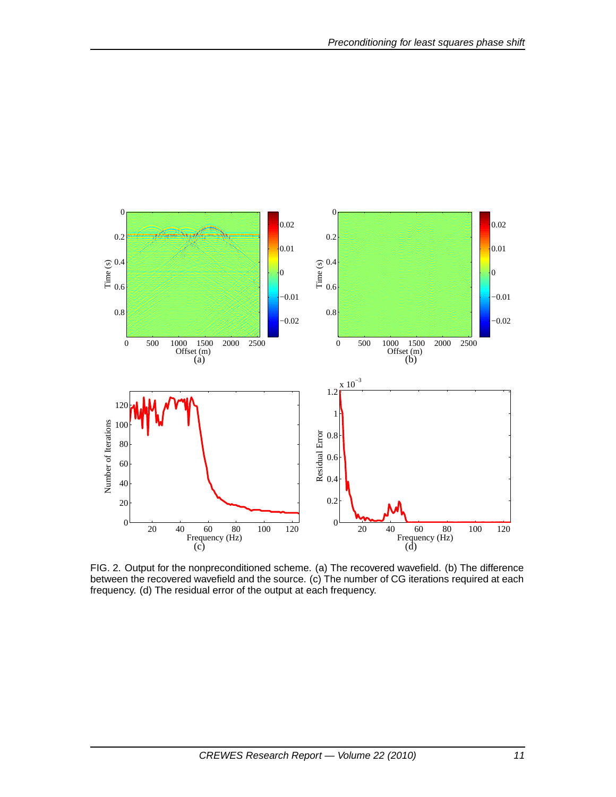

FIG. 2. Output for the nonpreconditioned scheme. (a) The recovered wavefield. (b) The difference between the recovered wavefield and the source. (c) The number of CG iterations required at each frequency. (d) The residual error of the output at each frequency.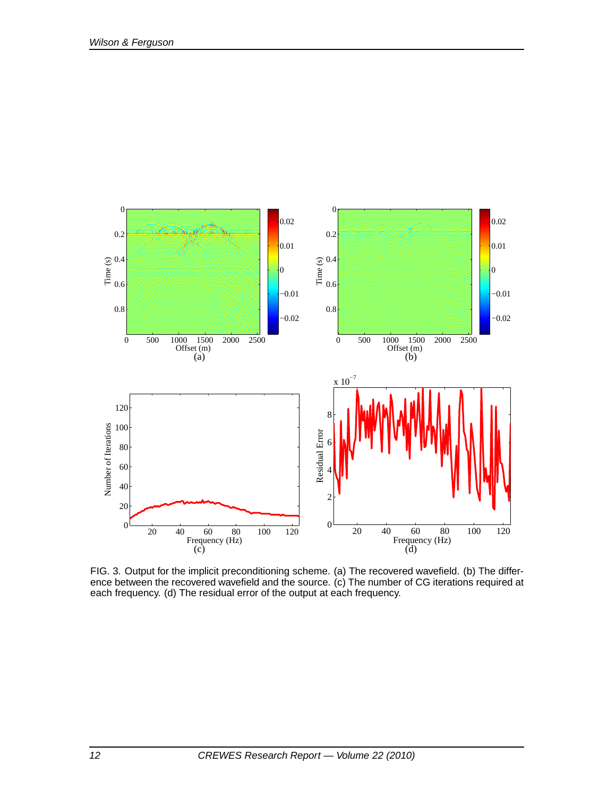

FIG. 3. Output for the implicit preconditioning scheme. (a) The recovered wavefield. (b) The difference between the recovered wavefield and the source. (c) The number of CG iterations required at each frequency. (d) The residual error of the output at each frequency.